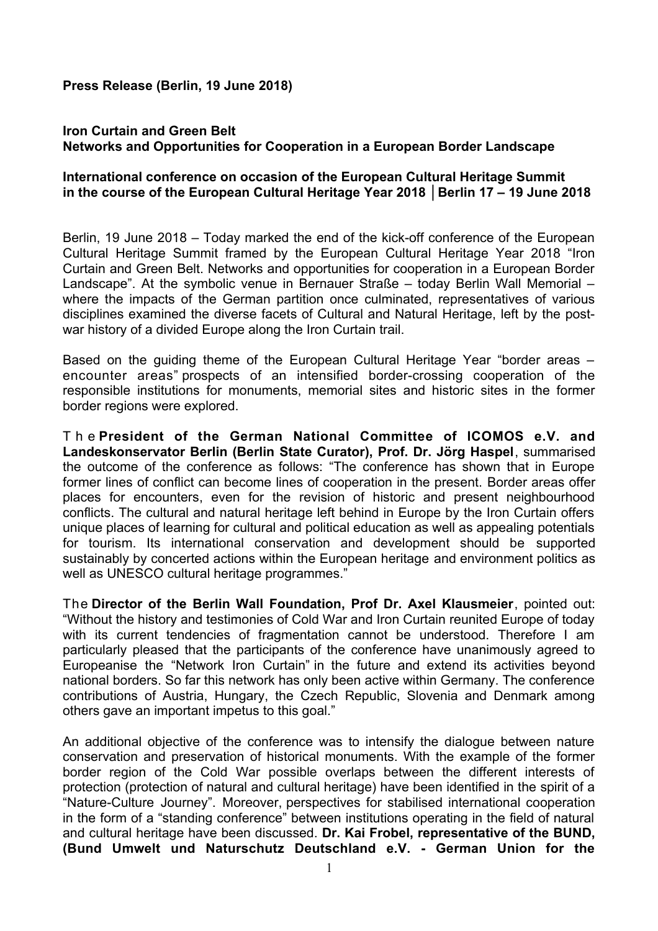**Press Release (Berlin, 19 June 2018)**

## **Iron Curtain and Green Belt Networks and Opportunities for Cooperation in a European Border Landscape**

### **International conference on occasion of the European Cultural Heritage Summit in the course of the European Cultural Heritage Year 2018 │Berlin 17 – 19 June 2018**

Berlin, 19 June 2018 – Today marked the end of the kick-off conference of the European Cultural Heritage Summit framed by the European Cultural Heritage Year 2018 "Iron Curtain and Green Belt. Networks and opportunities for cooperation in a European Border Landscape". At the symbolic venue in Bernauer Straße – today Berlin Wall Memorial – where the impacts of the German partition once culminated, representatives of various disciplines examined the diverse facets of Cultural and Natural Heritage, left by the postwar history of a divided Europe along the Iron Curtain trail.

Based on the guiding theme of the European Cultural Heritage Year "border areas – encounter areas" prospects of an intensified border-crossing cooperation of the responsible institutions for monuments, memorial sites and historic sites in the former border regions were explored.

T h e **President of the German National Committee of ICOMOS e.V. and Landeskonservator Berlin (Berlin State Curator), Prof. Dr. Jörg Haspel**, summarised the outcome of the conference as follows: "The conference has shown that in Europe former lines of conflict can become lines of cooperation in the present. Border areas offer places for encounters, even for the revision of historic and present neighbourhood conflicts. The cultural and natural heritage left behind in Europe by the Iron Curtain offers unique places of learning for cultural and political education as well as appealing potentials for tourism. Its international conservation and development should be supported sustainably by concerted actions within the European heritage and environment politics as well as UNESCO cultural heritage programmes."

The **Director of the Berlin Wall Foundation, Prof Dr. Axel Klausmeier**, pointed out: "Without the history and testimonies of Cold War and Iron Curtain reunited Europe of today with its current tendencies of fragmentation cannot be understood. Therefore I am particularly pleased that the participants of the conference have unanimously agreed to Europeanise the "Network Iron Curtain" in the future and extend its activities beyond national borders. So far this network has only been active within Germany. The conference contributions of Austria, Hungary, the Czech Republic, Slovenia and Denmark among others gave an important impetus to this goal."

An additional objective of the conference was to intensify the dialogue between nature conservation and preservation of historical monuments. With the example of the former border region of the Cold War possible overlaps between the different interests of protection (protection of natural and cultural heritage) have been identified in the spirit of a "Nature-Culture Journey". Moreover, perspectives for stabilised international cooperation in the form of a "standing conference" between institutions operating in the field of natural and cultural heritage have been discussed. **Dr. Kai Frobel, representative of the BUND, (Bund Umwelt und Naturschutz Deutschland e.V. - German Union for the**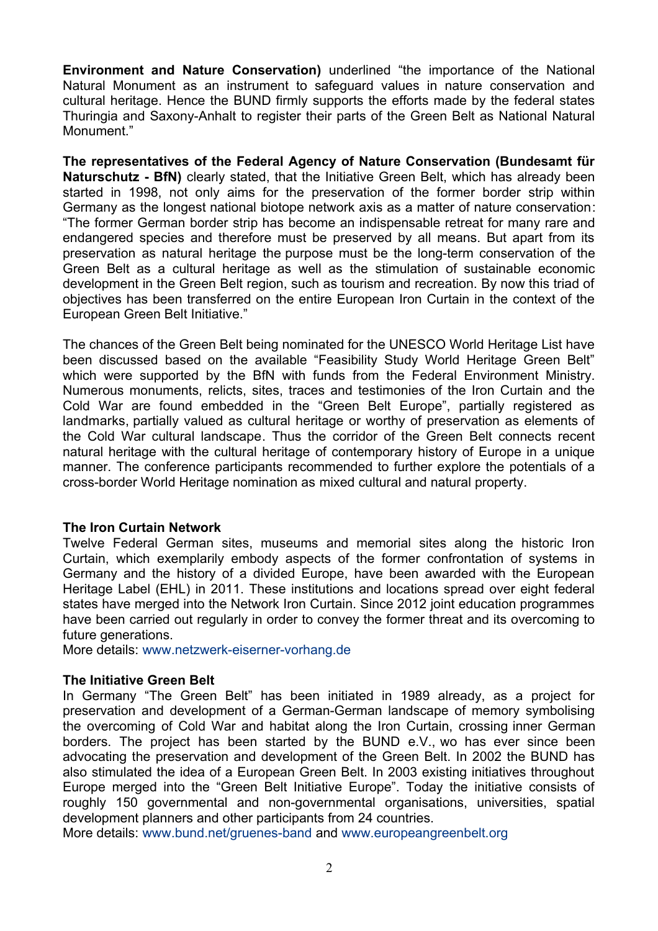**Environment and Nature Conservation)** underlined "the importance of the National Natural Monument as an instrument to safeguard values in nature conservation and cultural heritage. Hence the BUND firmly supports the efforts made by the federal states Thuringia and Saxony-Anhalt to register their parts of the Green Belt as National Natural Monument."

**The representatives of the Federal Agency of Nature Conservation (Bundesamt für Naturschutz - BfN)** clearly stated, that the Initiative Green Belt, which has already been started in 1998, not only aims for the preservation of the former border strip within Germany as the longest national biotope network axis as a matter of nature conservation: "The former German border strip has become an indispensable retreat for many rare and endangered species and therefore must be preserved by all means. But apart from its preservation as natural heritage the purpose must be the long-term conservation of the Green Belt as a cultural heritage as well as the stimulation of sustainable economic development in the Green Belt region, such as tourism and recreation. By now this triad of objectives has been transferred on the entire European Iron Curtain in the context of the European Green Belt Initiative."

The chances of the Green Belt being nominated for the UNESCO World Heritage List have been discussed based on the available "Feasibility Study World Heritage Green Belt" which were supported by the BfN with funds from the Federal Environment Ministry. Numerous monuments, relicts, sites, traces and testimonies of the Iron Curtain and the Cold War are found embedded in the "Green Belt Europe", partially registered as landmarks, partially valued as cultural heritage or worthy of preservation as elements of the Cold War cultural landscape. Thus the corridor of the Green Belt connects recent natural heritage with the cultural heritage of contemporary history of Europe in a unique manner. The conference participants recommended to further explore the potentials of a cross-border World Heritage nomination as mixed cultural and natural property.

## **The Iron Curtain Network**

Twelve Federal German sites, museums and memorial sites along the historic Iron Curtain, which exemplarily embody aspects of the former confrontation of systems in Germany and the history of a divided Europe, have been awarded with the European Heritage Label (EHL) in 2011. These institutions and locations spread over eight federal states have merged into the Network Iron Curtain. Since 2012 joint education programmes have been carried out regularly in order to convey the former threat and its overcoming to future generations.

More details: [www.netzwerk-eiserner-vorhang.de](http://www.netzwerk-eiserner-vorhang.de/)

## **The Initiative Green Belt**

In Germany "The Green Belt" has been initiated in 1989 already, as a project for preservation and development of a German-German landscape of memory symbolising the overcoming of Cold War and habitat along the Iron Curtain, crossing inner German borders. The project has been started by the BUND e.V., wo has ever since been advocating the preservation and development of the Green Belt. In 2002 the BUND has also stimulated the idea of a European Green Belt. In 2003 existing initiatives throughout Europe merged into the "Green Belt Initiative Europe". Today the initiative consists of roughly 150 governmental and non-governmental organisations, universities, spatial development planners and other participants from 24 countries.

More details: [www.bund.net/gruenes-band](http://www.bund.net/gruenes-band) and [www.europeangreenbelt.org](http://www.europeangreenbelt.org/)